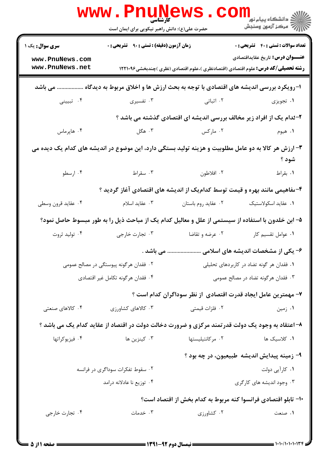|                                                                                                               | <b>www.PnuNews</b><br>کارشناسی<br>حضرت علی(ع): دانش راهبر نیکویی برای ایمان است                 |                                           | دانشگاه پيام نور <mark>−</mark><br>ا∛ مرکز آزمون وسنجش                                                                                                                               |  |
|---------------------------------------------------------------------------------------------------------------|-------------------------------------------------------------------------------------------------|-------------------------------------------|--------------------------------------------------------------------------------------------------------------------------------------------------------------------------------------|--|
| <b>سری سوال :</b> یک ۱<br>www.PnuNews.com<br>www.PnuNews.net                                                  | <b>زمان آزمون (دقیقه) : تستی : ۹۰ تشریحی : 0</b>                                                |                                           | <b>تعداد سوالات : تستی : 40 - تشریحی : 0</b><br><b>عنــــوان درس:</b> تاريخ عقايداقتصادي<br><b>رشته تحصیلی/کد درس:</b> علوم اقتصادی (اقتصادنظری )،علوم اقتصادی (نظری )چندبخشی۱۲۲۱۰۹۶ |  |
|                                                                                                               | ا-رویکرد بررسی اندیشه های اقتصادی با توجه به بحث ارزش ها و اخلاق مربوط به دیدگاه  می باشد       |                                           |                                                                                                                                                                                      |  |
| ۰۴ تبیینی                                                                                                     | ۰۳ تفسیری                                                                                       | ۲. اثباتی                                 | ۰۱ تجویزی                                                                                                                                                                            |  |
|                                                                                                               |                                                                                                 |                                           | ۲-کدام یک از افراد زیر مخالف بررسی اندیشه ای اقتصادی گذشته می باشد ؟                                                                                                                 |  |
| ۰۴ هاپرماس                                                                                                    | ۰۳ هگل                                                                                          | ۰۲ مارکس                                  | ۰۱ هیوم                                                                                                                                                                              |  |
| ۳- ارزش هر کالا به دو عامل مطلوبیت و هزینه تولید بستگی دارد، این موضوع در اندیشه های کدام یک دیده می<br>شود ؟ |                                                                                                 |                                           |                                                                                                                                                                                      |  |
| ۰۴ ارسطو                                                                                                      | ۰۳ سقراط                                                                                        | ٢. افلاطون                                | ٠١. بقراط                                                                                                                                                                            |  |
|                                                                                                               | ۴-مفاهیمی مانند بهره و قیمت توسط کدامیک از اندیشه های اقتصادی آغاز گردید ؟                      |                                           |                                                                                                                                                                                      |  |
| ۰۴ عقاید قرون وسطی                                                                                            | ۰۳ عقاید اسلام                                                                                  | ۰۲ عقاید روم باستان                       | ٠١ عقايد اسكولاستيك                                                                                                                                                                  |  |
| ۵– ابن خلدون با استفاده از سیستمی از علل و معالیل کدام یک از مباحث ذیل را به طور مبسوط حاصل نمود؟             |                                                                                                 |                                           |                                                                                                                                                                                      |  |
| ۰۴ تولید ثروت                                                                                                 | ۰۳ تجارت خارجي                                                                                  | ۰۲ عرضه و تقاضا                           | ۰۱ عوامل تقسیم کار                                                                                                                                                                   |  |
|                                                                                                               |                                                                                                 |                                           | ۶- یکی از مشخصات اندیشه های اسلامی  می باشد .                                                                                                                                        |  |
|                                                                                                               | ۰۲ فقدان هرگونه پیوستگی در مصالح عمومی                                                          | ۰۱ فقدان هر گونه تضاد در کاربردهای تحلیلی |                                                                                                                                                                                      |  |
|                                                                                                               | ۰۴ فقدان هرگونه تكامل غير اقتصادي                                                               |                                           | ۰۳ فقدان هرگونه تضاد در مصالح عمومی                                                                                                                                                  |  |
|                                                                                                               |                                                                                                 |                                           | ۷– مهمترین عامل ایجاد قدرت اقتصادی از نظر سوداگران کدام است ؟                                                                                                                        |  |
| ۰۴ کالاهای صنعتی                                                                                              | ۰۳ کالاهای کشاورزی                                                                              | ۰۲ فلزات قیمتی                            | ۰۱ زمین                                                                                                                                                                              |  |
|                                                                                                               | ۸– اعتقاد به وجود یک دولت قدرتمند مرکزی و ضرورت دخالت دولت در اقتصاد از عقاید کدام یک می باشد ؟ |                                           |                                                                                                                                                                                      |  |
| ۰۴ فیزیوکراتها                                                                                                | ۰۳ کینزین ها                                                                                    | ۰۲ مرکانتیلیستها                          | ۰۱ کلاسیک ها                                                                                                                                                                         |  |
|                                                                                                               |                                                                                                 |                                           | ۹- زمینه پیدایش اندیشه طبیعیون، در چه بود ؟                                                                                                                                          |  |
|                                                                                                               | ۰۲ سقوط تفکرات سوداگری در فرانسه                                                                |                                           | ۰۱ کارآیی دولت                                                                                                                                                                       |  |
|                                                                                                               | ۰۴ توزیع نا عادلانه درامد                                                                       |                                           | ۰۳ وجود اندیشه های کارگری                                                                                                                                                            |  |
|                                                                                                               |                                                                                                 |                                           | +ا– تابلو اقتصادی فرانسوا کنه مربوط به کدام بخش از اقتصاد است؟                                                                                                                       |  |
| ۰۴ تجارت خارجي                                                                                                | ۰۳ خدمات                                                                                        | ۰۲ کشاورزی                                | ۱. صنعت                                                                                                                                                                              |  |
|                                                                                                               |                                                                                                 |                                           |                                                                                                                                                                                      |  |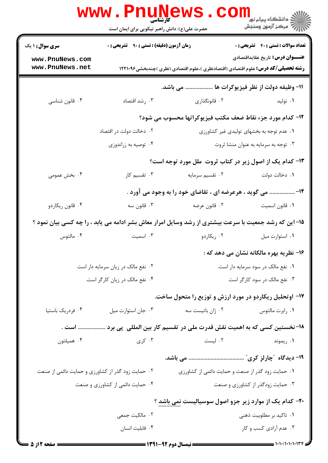|                                                   | <b>www.PnuNewS</b><br><b>کارشناسی</b><br>حضرت علی(ع): دانش راهبر نیکویی برای ایمان است |                                                                                                       | <sup>ال</sup> ڪ دانشڪاه پيام نور <sup>دا</sup><br>ا∛ مرکز آزمون وسنڊش |
|---------------------------------------------------|----------------------------------------------------------------------------------------|-------------------------------------------------------------------------------------------------------|-----------------------------------------------------------------------|
| <b>سری سوال : ۱ یک</b>                            | زمان آزمون (دقیقه) : تستی : ۹۰٪ تشریحی : ۰                                             |                                                                                                       | <b>تعداد سوالات : تستی : 40 - تشریحی : 0</b>                          |
| www.PnuNews.com                                   |                                                                                        |                                                                                                       | <b>عنــــوان درس:</b> تاریخ عقایداقتصادی                              |
| www.PnuNews.net                                   |                                                                                        | <b>رشته تحصیلی/کد درس:</b> علوم اقتصادی (اقتصادنظری )،علوم اقتصادی (نظری )چندبخشی1۲۲۱۰۹۶              |                                                                       |
|                                                   |                                                                                        | 11- وظيفه دولت از نظر فيزيوكرات ها  مي باشد.                                                          |                                                                       |
| ۰۴ قانون شناسي                                    | ۰۳ رشد اقتصاد                                                                          | ۰۲ قانونگذاری                                                                                         | ۰۱ تولید                                                              |
|                                                   |                                                                                        | 12- كدام مورد جزء نقاط ضعف مكتب فيزيوكراتها محسوب مي شود؟                                             |                                                                       |
|                                                   | ۰۲ دخالت دولت در اقتصاد                                                                |                                                                                                       | ۰۱ عدم توجه به بخشهای تولیدی غیر کشاورزی                              |
|                                                   | ۰۴ توصیه به زراندوزی                                                                   |                                                                                                       | ۰۳ توجه به سرمایه به عنوان منشا ثروت                                  |
|                                                   |                                                                                        | ۱۳- کدام یک از اصول زیر در کتاب ثروت ًملل مورد توجه است؟                                              |                                                                       |
| ۰۴ بخش عمومی                                      | ۰۳ تقسیم کار                                                                           | ۰۲ تقسیم سرمایه                                                                                       | ۰۱ دخالت دولت                                                         |
|                                                   |                                                                                        | ۱۴-  می گوید ، هرعرضه ای ، تقاضای خود را به وجود می آورد .                                            |                                                                       |
| ۰۴ قانون ريكاردو                                  | ۰۳ قانون سه                                                                            | ۰۲ قانون عرضه                                                                                         | ٠١ قانون اسميت                                                        |
|                                                   |                                                                                        | 1۵– این که رشد جمعیت با سرعت بیشتری از رشد وسایل امرار معاش بشر ادامه می یابد ، را چه کسی بیان نمود ؟ |                                                                       |
| ۰۴ مالتوس                                         | ۰۳ اسمیت                                                                               | ۰۲ ریکاردو                                                                                            | ٠١ استوارت ميل                                                        |
|                                                   |                                                                                        |                                                                                                       | ۱۶- نظریه بهره مالکانه نشان می دهد که :                               |
|                                                   | ۰۲ نفع مالک در زیان سرمایه دار است                                                     | ٠١ نفع مالک در سود سرمايه دار است.                                                                    |                                                                       |
|                                                   | ۰۴ نفع مالک در زیان کارگر است.                                                         | ۰۳ نفع مالک در سود کارگر است                                                                          |                                                                       |
|                                                   |                                                                                        | ۱۷- اوتحلیل ریکاردو در مورد ارزش و توزیع را متحول ساخت.                                               |                                                                       |
| ۰۴ فردریک باستیا                                  | ۰۳ جان استوارت ميل                                                                     | ۰۲ ژان باتیست سه                                                                                      | ٠١. رابرت مالتوس                                                      |
| است .                                             |                                                                                        | ۱۸- نخستین کسی که به اهمیت نقش قدرت ملی در تقسیم کار بین المللی پی برد                                |                                                                       |
| ۰۴ همیلتون                                        | ۰۳ کری                                                                                 | ۰۲ لیست                                                                                               | ۰۱ ریموند                                                             |
|                                                   |                                                                                        |                                                                                                       |                                                                       |
| ۰۲ حمایت زود گذر از کشاورزی و حمایت دائمی از صنعت |                                                                                        | ۰۱ حمایت زود گذر از صنعت و حمایت دائمی از کشاورزی                                                     |                                                                       |
|                                                   | ۰۴ حمایت دائمی از کشاورزی و صنعت                                                       |                                                                                                       | ۰۳ حمایت زودگذر از کشاورزی و صنعت                                     |
|                                                   |                                                                                        | ۲۰- کدام یک از موارد زیر جزو اصول سوسیالیست نمی باشد ؟                                                |                                                                       |
|                                                   | ۰۲ مالکیت جمعی                                                                         |                                                                                                       | ۰۱ تاکید بر مطلوبیت ذهنی                                              |
|                                                   | ۰۴ قابلیت انسان                                                                        |                                                                                                       | ۰۳ عدم آزادی کسب و کار                                                |
|                                                   |                                                                                        |                                                                                                       |                                                                       |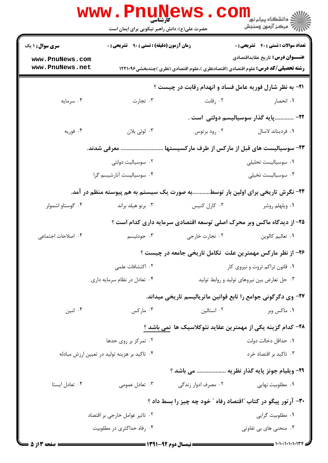|                                    | <b>www.Pnunews</b><br><b>کارشناسی</b><br>حضرت علی(ع): دانش راهبر نیکویی برای ایمان است |                                             | الاد دانشگاه پيام نور <mark>− ا</mark><br>  <i>  &gt;</i> مرکز آزمون وسنجش               |
|------------------------------------|----------------------------------------------------------------------------------------|---------------------------------------------|------------------------------------------------------------------------------------------|
| <b>سری سوال : ۱ یک</b>             | <b>زمان آزمون (دقیقه) : تستی : ۹۰ قشریحی : .</b>                                       |                                             | <b>تعداد سوالات : تستي : 40 قشريحي : 0</b>                                               |
| www.PnuNews.com<br>www.PnuNews.net |                                                                                        |                                             | <b>عنـــوان درس:</b> تاریخ عقایداقتصادی                                                  |
|                                    |                                                                                        |                                             | <b>رشته تحصیلی/کد درس:</b> علوم اقتصادی (اقتصادنظری )،علوم اقتصادی (نظری )چندبخشی1۲۲۱۰۹۶ |
|                                    |                                                                                        |                                             | <b>۲۱</b> - به نظر شارل فوریه عامل فساد و انهدام رقابت در چیست ؟                         |
| ۰۴ سرمايه                          | ۰۳ تجارت                                                                               | ۰۲ رقابت                                    | ۰۱ انحصار                                                                                |
|                                    |                                                                                        |                                             | ٢٢- پايه گذار سوسياليسم دولتي  است .                                                     |
| ۰۴ فوريه                           | ۰۳ لوئی بلان                                                                           | ۰۲ رود برتوس                                | ٠١ فرديناند لاسال                                                                        |
|                                    |                                                                                        |                                             | ۲۳- سوسیالیست های قبل از مارکس از طرف مارکسیستها  معرفی شدند.                            |
|                                    | ۰۲ سوسیالیت دولتی                                                                      |                                             | ٠١ سوسياليست تحليلى                                                                      |
|                                    | ۰۴ سوسیالیست آنارشیسم گرا                                                              |                                             | ۰۳ سوسیالیست تخیلی                                                                       |
|                                    |                                                                                        |                                             | ۲۴- نگرش تاریخی برای اولین بار توسطبه صورت یک سیستم به هم پیوسته منظم در آمد.            |
| ۰۴ گوستاو اشمولر                   | ۰۳ برنو هیلد براند                                                                     | ۰۲ کارل کنیس                                | ۰۱ ویلهلم روشر                                                                           |
|                                    |                                                                                        |                                             | ۲۵- از دیدگاه ماکس وبر محرک اصلی توسعه اقتصادی سرمایه داری کدام است ؟                    |
| ۰۴ اصلاحات اجتماعی                 | ۰۳ جودئيسم                                                                             | ۰۲ تجارت خارجي                              | ٠١ تعاليم كالوين                                                                         |
|                                    |                                                                                        |                                             | ۲۶- از نظر مارکس مهمترین علت تکامل تاریخی جامعه در چیست ؟                                |
|                                    | ۰۲ اکتشافات علمی                                                                       |                                             | ۰۱ قانون تراکم ثروت و نیروی کار                                                          |
|                                    | ۰۴ تعادل در نظام سرمایه داری                                                           | ۰۳ حل تعارض بین نیروهای تولید و روابط تولید |                                                                                          |
|                                    |                                                                                        |                                             | ۲۷- وی دگرگونی جوامع را تابع قوانین ماتریالیسم تاریخی میداند.                            |
| ۰۴ لنين                            | ۰۳ مارکس                                                                               | ۰۲ استالین                                  | ۰۱ ماکس وبر                                                                              |
|                                    |                                                                                        |                                             | ۲۸– کدام گزینه یکی از مهمترین عقاید نئوکلاسیک ها نمی باشد ؟                              |
|                                    | ۰۲ تمرکز بر روی حدها                                                                   |                                             | ٠١ حداقل دخالت دولت                                                                      |
|                                    | ۰۴ تاکید بر هزینه تولید در تعیین ارزش مبادله                                           |                                             | ۰۳ تاکید بر اقتصاد خرد                                                                   |
|                                    |                                                                                        |                                             | ۲۹- ویلیام جونز پایه گذار نظریه  می باشد ؟                                               |
| ۰۴ تعادل ايستا                     | ۰۳ تعادل عمومی                                                                         | ۰۲ مصرف ادوار زندگی                         | ۰۱ مطلوبیت نهایی                                                                         |
|                                    |                                                                                        |                                             | ۳۰- آرتور پیگو در کتاب "اقتصاد رفاه " خود چه چیز را بسط داد ؟                            |
|                                    | ۰۲ تاثیر عوامل خارجی بر اقتصاد                                                         |                                             | ۰۱ مطلوبیت گرایی                                                                         |
|                                    | ۰۴ رفاه حداکثری در مطلوبیت                                                             |                                             | ۰۳ منحنی های بی تفاوتی                                                                   |
|                                    |                                                                                        |                                             |                                                                                          |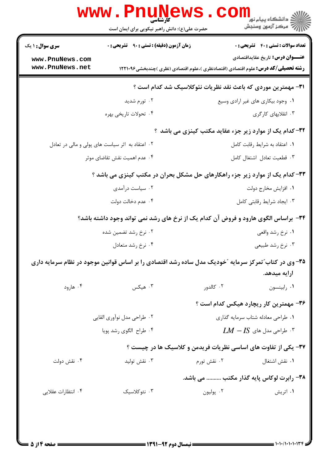|                                                              | کارشناسی<br>حضرت علی(ع): دانش راهبر نیکویی برای ایمان است                                             |                                                                | ڪ دانشڪاه پيا <sub>م</sub> نور<br>7 مرڪز آزمون وسنڊش |
|--------------------------------------------------------------|-------------------------------------------------------------------------------------------------------|----------------------------------------------------------------|------------------------------------------------------|
| <b>سری سوال : ۱ یک</b>                                       | <b>زمان آزمون (دقیقه) : تستی : ۹۰ قشریحی : 0</b>                                                      |                                                                | <b>تعداد سوالات : تستي : 40 - تشريحي : 0</b>         |
| www.PnuNews.com<br>www.PnuNews.net                           | <b>رشته تحصیلی/کد درس:</b> علوم اقتصادی (اقتصادنظری )،علوم اقتصادی (نظری )چندبخشی1۲۲۱۰۹۶              |                                                                | <b>عنـــوان درس:</b> تاريخ عقايداقتصادي              |
| ۳۱- مهمترین موردی که باعث نقد نظریات نئوکلاسیک شد کدام است ؟ |                                                                                                       |                                                                |                                                      |
|                                                              | ۰۲ تورم شدید                                                                                          | ۰۱ وجود بیکاری های غیر ارادی وسیع                              |                                                      |
|                                                              | ۰۴ تحولات تاریخی بهره                                                                                 |                                                                | ۰۳ انقلابهای کارگری                                  |
|                                                              |                                                                                                       | ۳۲- کدام یک از موارد زیر جزء عقاید مکتب کینزی می باشد ؟        |                                                      |
|                                                              | ۰۲ اعتقاد به اثر سیاست های پولی و مالی در تعادل                                                       |                                                                | ٠١ اعتقاد به شرايط رقابت كامل                        |
| ۰۴ عدم اهمیت نقش تقاضای موثر                                 |                                                                                                       |                                                                | ٠٣ قطعيت تعادل اشتغال كامل                           |
|                                                              | ۳۳- کدام یک از موارد زیر جزء راهکارهای حل مشکل بحران در مکتب کینزی می باشد ؟                          |                                                                |                                                      |
|                                                              | ۰۲ سیاست درآمدی                                                                                       |                                                                | ٠١. افزايش مخارج دولت                                |
|                                                              | ۰۴ عدم دخالت دولت                                                                                     |                                                                | ۰۳ ایجاد شرایط رقابتی کامل                           |
|                                                              | ۳۴- براساس الگوی هارود و فروض آن کدام یک از نرخ های رشد نمی تواند وجود داشته باشد؟                    |                                                                |                                                      |
|                                                              | ۰۲ نرخ رشد تضمین شده                                                                                  |                                                                | ۰۱ نرخ رشد واقعی                                     |
|                                                              | ۰۴ نرخ رشد متعادل                                                                                     |                                                                | ۰۳ نرخ رشد طبیعی                                     |
|                                                              | ۳۵– وی در کتاب ؒ تمرکز سرمایه ؒخودیک مدل ساده رشد اقتصادی را بر اساس قوانین موجود در نظام سرمایه داری |                                                                |                                                      |
|                                                              |                                                                                                       |                                                                | ارايه ميدهد.                                         |
| ۰۴ هارود                                                     | ۰۳ هیکس                                                                                               | ۰۲ کالدور                                                      | ٠١ رابينسون                                          |
|                                                              |                                                                                                       | ۳۶- مهمترین کار ریچارد هیکس کدام است ؟                         |                                                      |
|                                                              | ۰۲ طراحی مدل نوآوری القایی                                                                            | ۰۱ طراحی معادله شتاب سرمایه گذاری                              |                                                      |
|                                                              | ۰۴ طراح الگوی رشد پویا                                                                                | $LM - IS$ . طراحی مدل های $\cdot$ ۳                            |                                                      |
|                                                              |                                                                                                       | ۳۷- یکی از تفاوت های اساسی نظریات فریدمن و کلاسیک ها در چیست ؟ |                                                      |
| ۰۴ نقش دولت                                                  | نقش توليد $\cdot$                                                                                     | ۰۲ نقش تورم                                                    | ۰۱ نقش اشتغال                                        |
|                                                              |                                                                                                       | ۳۸- رابرت لوکاس پایه گذار مکتب  می باشد.                       |                                                      |
|                                                              |                                                                                                       |                                                                |                                                      |